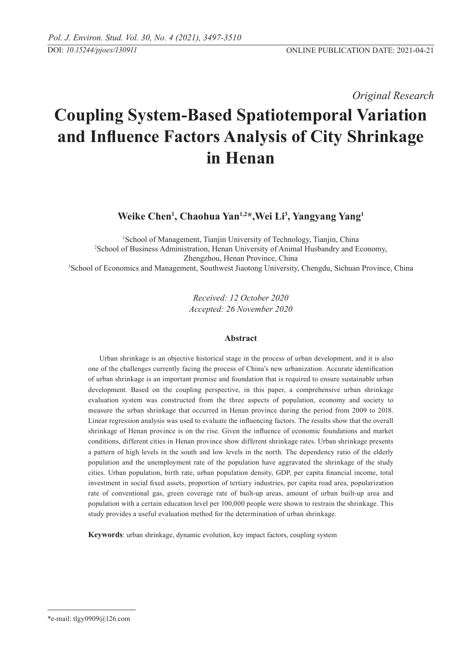*Original Research* 

# **Coupling System-Based Spatiotemporal Variation and Influence Factors Analysis of City Shrinkage in Henan**

**Weike Chen<sup>1</sup> , Chaohua Yan1,2\*,Wei Li3 , Yangyang Yang<sup>1</sup>**

 School of Management, Tianjin University of Technology, Tianjin, China School of Business Administration, Henan University of Animal Husbandry and Economy, Zhengzhou, Henan Province, China School of Economics and Management, Southwest Jiaotong University, Chengdu, Sichuan Province, China

> *Received: 12 October 2020 Accepted: 26 November 2020*

# **Abstract**

Urban shrinkage is an objective historical stage in the process of urban development, and it is also one of the challenges currently facing the process of China's new urbanization. Accurate identification of urban shrinkage is an important premise and foundation that is required to ensure sustainable urban development. Based on the coupling perspective, in this paper, a comprehensive urban shrinkage evaluation system was constructed from the three aspects of population, economy and society to measure the urban shrinkage that occurred in Henan province during the period from 2009 to 2018. Linear regression analysis was used to evaluate the influencing factors. The results show that the overall shrinkage of Henan province is on the rise. Given the influence of economic foundations and market conditions, different cities in Henan province show different shrinkage rates. Urban shrinkage presents a pattern of high levels in the south and low levels in the north. The dependency ratio of the elderly population and the unemployment rate of the population have aggravated the shrinkage of the study cities. Urban population, birth rate, urban population density, GDP, per capita financial income, total investment in social fixed assets, proportion of tertiary industries, per capita road area, popularization rate of conventional gas, green coverage rate of built-up areas, amount of urban built-up area and population with a certain education level per 100,000 people were shown to restrain the shrinkage. This study provides a useful evaluation method for the determination of urban shrinkage.

**Keywords**: urban shrinkage, dynamic evolution, key impact factors, coupling system

<sup>\*</sup>e-mail: tlgy0909@126.com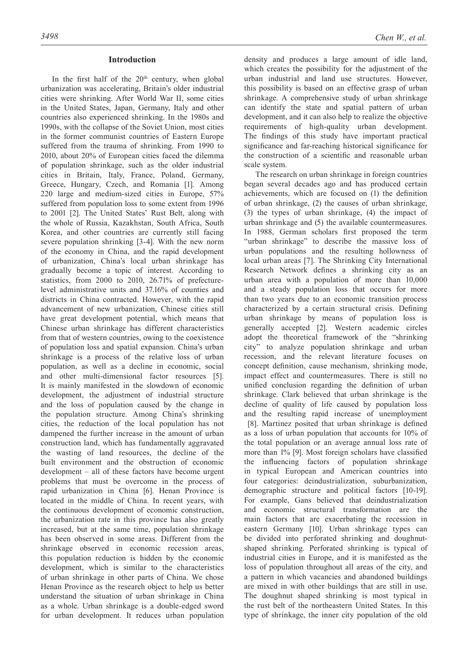# **Introduction**

In the first half of the  $20<sup>th</sup>$  century, when global urbanization was accelerating, Britain's older industrial cities were shrinking. After World War II, some cities in the United States, Japan, Germany, Italy and other countries also experienced shrinking. In the 1980s and 1990s, with the collapse of the Soviet Union, most cities in the former communist countries of Eastern Europe suffered from the trauma of shrinking. From 1990 to 2010, about 20% of European cities faced the dilemma of population shrinkage, such as the older industrial cities in Britain, Italy, France, Poland, Germany, Greece, Hungary, Czech, and Romania [1]. Among 220 large and medium-sized cities in Europe, 57% suffered from population loss to some extent from 1996 to 2001 [2]. The United States' Rust Belt, along with the whole of Russia, Kazakhstan, South Africa, South Korea, and other countries are currently still facing severe population shrinking [3-4]. With the new norm of the economy in China, and the rapid development of urbanization, China's local urban shrinkage has gradually become a topic of interest. According to statistics, from 2000 to 2010, 26.71% of prefecturelevel administrative units and 37.16% of counties and districts in China contracted. However, with the rapid advancement of new urbanization, Chinese cities still have great development potential, which means that Chinese urban shrinkage has different characteristics from that of western countries, owing to the coexistence of population loss and spatial expansion. China's urban shrinkage is a process of the relative loss of urban population, as well as a decline in economic, social and other multi-dimensional factor resources [5]. It is mainly manifested in the slowdown of economic development, the adjustment of industrial structure and the loss of population caused by the change in the population structure. Among China's shrinking cities, the reduction of the local population has not dampened the further increase in the amount of urban construction land, which has fundamentally aggravated the wasting of land resources, the decline of the built environment and the obstruction of economic development – all of these factors have become urgent problems that must be overcome in the process of rapid urbanization in China [6]. Henan Province is located in the middle of China. In recent years, with the continuous development of economic construction, the urbanization rate in this province has also greatly increased, but at the same time, population shrinkage has been observed in some areas. Different from the shrinkage observed in economic recession areas, this population reduction is hidden by the economic development, which is similar to the characteristics of urban shrinkage in other parts of China. We chose Henan Province as the research object to help us better understand the situation of urban shrinkage in China as a whole. Urban shrinkage is a double-edged sword for urban development. It reduces urban population

density and produces a large amount of idle land, which creates the possibility for the adjustment of the urban industrial and land use structures. However, this possibility is based on an effective grasp of urban shrinkage. A comprehensive study of urban shrinkage can identify the state and spatial pattern of urban development, and it can also help to realize the objective requirements of high-quality urban development. The findings of this study have important practical significance and far-reaching historical significance for the construction of a scientific and reasonable urban scale system.

The research on urban shrinkage in foreign countries began several decades ago and has produced certain achievements, which are focused on (1) the definition of urban shrinkage, (2) the causes of urban shrinkage, (3) the types of urban shrinkage, (4) the impact of urban shrinkage and (5) the available countermeasures. In 1988, German scholars first proposed the term "urban shrinkage" to describe the massive loss of urban populations and the resulting hollowness of local urban areas [7]. The Shrinking City International Research Network defines a shrinking city as an urban area with a population of more than 10,000 and a steady population loss that occurs for more than two years due to an economic transition process characterized by a certain structural crisis. Defining urban shrinkage by means of population loss is generally accepted [2]. Western academic circles adopt the theoretical framework of the "shrinking city" to analyze population shrinkage and urban recession, and the relevant literature focuses on concept definition, cause mechanism, shrinking mode, impact effect and countermeasures. There is still no unified conclusion regarding the definition of urban shrinkage. Clark believed that urban shrinkage is the decline of quality of life caused by population loss and the resulting rapid increase of unemployment

 [8]. Martinez posited that urban shrinkage is defined as a loss of urban population that accounts for 10% of the total population or an average annual loss rate of more than 1% [9]. Most foreign scholars have classified the influencing factors of population shrinkage in typical European and American countries into four categories: deindustrialization, suburbanization, demographic structure and political factors [10-19]. For example, Gans believed that deindustrialization and economic structural transformation are the main factors that are exacerbating the recession in eastern Germany [10]. Urban shrinkage types can be divided into perforated shrinking and doughnutshaped shrinking. Perforated shrinking is typical of industrial cities in Europe, and it is manifested as the loss of population throughout all areas of the city, and a pattern in which vacancies and abandoned buildings are mixed in with other buildings that are still in use. The doughnut shaped shrinking is most typical in the rust belt of the northeastern United States. In this type of shrinkage, the inner city population of the old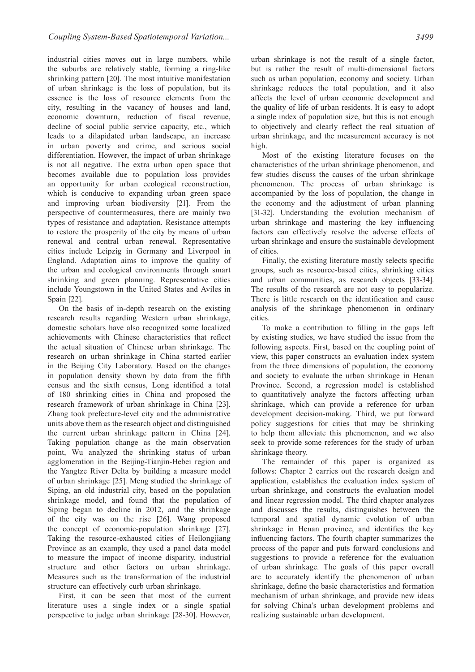industrial cities moves out in large numbers, while the suburbs are relatively stable, forming a ring-like shrinking pattern [20]. The most intuitive manifestation of urban shrinkage is the loss of population, but its essence is the loss of resource elements from the city, resulting in the vacancy of houses and land, economic downturn, reduction of fiscal revenue, decline of social public service capacity, etc., which leads to a dilapidated urban landscape, an increase in urban poverty and crime, and serious social differentiation. However, the impact of urban shrinkage is not all negative. The extra urban open space that becomes available due to population loss provides an opportunity for urban ecological reconstruction, which is conducive to expanding urban green space and improving urban biodiversity [21]. From the perspective of countermeasures, there are mainly two types of resistance and adaptation. Resistance attempts to restore the prosperity of the city by means of urban renewal and central urban renewal. Representative cities include Leipzig in Germany and Liverpool in England. Adaptation aims to improve the quality of the urban and ecological environments through smart shrinking and green planning. Representative cities include Youngstown in the United States and Aviles in Spain [22].

On the basis of in-depth research on the existing research results regarding Western urban shrinkage, domestic scholars have also recognized some localized achievements with Chinese characteristics that reflect the actual situation of Chinese urban shrinkage. The research on urban shrinkage in China started earlier in the Beijing City Laboratory. Based on the changes in population density shown by data from the fifth census and the sixth census, Long identified a total of 180 shrinking cities in China and proposed the research framework of urban shrinkage in China [23]. Zhang took prefecture-level city and the administrative units above them as the research object and distinguished the current urban shrinkage pattern in China [24]. Taking population change as the main observation point, Wu analyzed the shrinking status of urban agglomeration in the Beijing-Tianjin-Hebei region and the Yangtze River Delta by building a measure model of urban shrinkage [25]. Meng studied the shrinkage of Siping, an old industrial city, based on the population shrinkage model, and found that the population of Siping began to decline in 2012, and the shrinkage of the city was on the rise [26]. Wang proposed the concept of economic-population shrinkage [27]. Taking the resource-exhausted cities of Heilongjiang Province as an example, they used a panel data model to measure the impact of income disparity, industrial structure and other factors on urban shrinkage. Measures such as the transformation of the industrial structure can effectively curb urban shrinkage.

First, it can be seen that most of the current literature uses a single index or a single spatial perspective to judge urban shrinkage [28-30]. However,

urban shrinkage is not the result of a single factor, but is rather the result of multi-dimensional factors such as urban population, economy and society. Urban shrinkage reduces the total population, and it also affects the level of urban economic development and the quality of life of urban residents. It is easy to adopt a single index of population size, but this is not enough to objectively and clearly reflect the real situation of urban shrinkage, and the measurement accuracy is not high.

Most of the existing literature focuses on the characteristics of the urban shrinkage phenomenon, and few studies discuss the causes of the urban shrinkage phenomenon. The process of urban shrinkage is accompanied by the loss of population, the change in the economy and the adjustment of urban planning [31-32]. Understanding the evolution mechanism of urban shrinkage and mastering the key influencing factors can effectively resolve the adverse effects of urban shrinkage and ensure the sustainable development of cities.

Finally, the existing literature mostly selects specific groups, such as resource-based cities, shrinking cities and urban communities, as research objects [33-34]. The results of the research are not easy to popularize. There is little research on the identification and cause analysis of the shrinkage phenomenon in ordinary cities.

To make a contribution to filling in the gaps left by existing studies, we have studied the issue from the following aspects. First, based on the coupling point of view, this paper constructs an evaluation index system from the three dimensions of population, the economy and society to evaluate the urban shrinkage in Henan Province. Second, a regression model is established to quantitatively analyze the factors affecting urban shrinkage, which can provide a reference for urban development decision-making. Third, we put forward policy suggestions for cities that may be shrinking to help them alleviate this phenomenon, and we also seek to provide some references for the study of urban shrinkage theory.

The remainder of this paper is organized as follows: Chapter 2 carries out the research design and application, establishes the evaluation index system of urban shrinkage, and constructs the evaluation model and linear regression model. The third chapter analyzes and discusses the results, distinguishes between the temporal and spatial dynamic evolution of urban shrinkage in Henan province, and identifies the key influencing factors. The fourth chapter summarizes the process of the paper and puts forward conclusions and suggestions to provide a reference for the evaluation of urban shrinkage. The goals of this paper overall are to accurately identify the phenomenon of urban shrinkage, define the basic characteristics and formation mechanism of urban shrinkage, and provide new ideas for solving China's urban development problems and realizing sustainable urban development.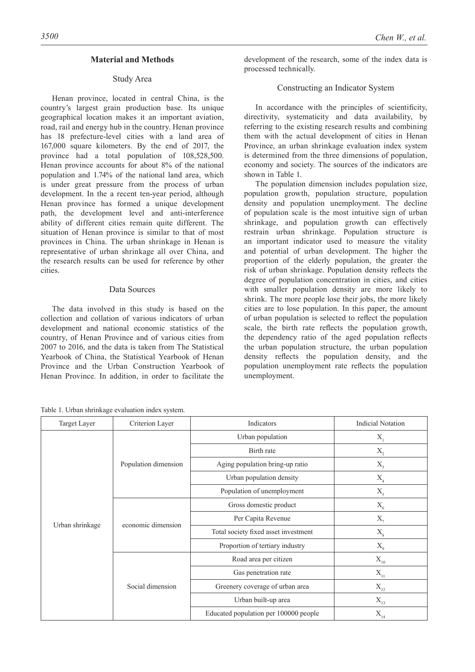# **Material and Methods**

# Study Area

Henan province, located in central China, is the country's largest grain production base. Its unique geographical location makes it an important aviation, road, rail and energy hub in the country. Henan province has 18 prefecture-level cities with a land area of 167,000 square kilometers. By the end of 2017, the province had a total population of 108,528,500. Henan province accounts for about 8% of the national population and 1.74% of the national land area, which is under great pressure from the process of urban development. In the a recent ten-year period, although Henan province has formed a unique development path, the development level and anti-interference ability of different cities remain quite different. The situation of Henan province is similar to that of most provinces in China. The urban shrinkage in Henan is representative of urban shrinkage all over China, and the research results can be used for reference by other cities.

### Data Sources

The data involved in this study is based on the collection and collation of various indicators of urban development and national economic statistics of the country, of Henan Province and of various cities from 2007 to 2016, and the data is taken from The Statistical Yearbook of China, the Statistical Yearbook of Henan Province and the Urban Construction Yearbook of Henan Province. In addition, in order to facilitate the

Table 1. Urban shrinkage evaluation index system.

development of the research, some of the index data is processed technically.

# Constructing an Indicator System

In accordance with the principles of scientificity, directivity, systematicity and data availability, by referring to the existing research results and combining them with the actual development of cities in Henan Province, an urban shrinkage evaluation index system is determined from the three dimensions of population, economy and society. The sources of the indicators are shown in Table 1.

The population dimension includes population size, population growth, population structure, population density and population unemployment. The decline of population scale is the most intuitive sign of urban shrinkage, and population growth can effectively restrain urban shrinkage. Population structure is an important indicator used to measure the vitality and potential of urban development. The higher the proportion of the elderly population, the greater the risk of urban shrinkage. Population density reflects the degree of population concentration in cities, and cities with smaller population density are more likely to shrink. The more people lose their jobs, the more likely cities are to lose population. In this paper, the amount of urban population is selected to reflect the population scale, the birth rate reflects the population growth, the dependency ratio of the aged population reflects the urban population structure, the urban population density reflects the population density, and the population unemployment rate reflects the population unemployment.

| Target Layer    | Criterion Layer<br>Indicators |                                       | <b>Indicial Notation</b>              |
|-----------------|-------------------------------|---------------------------------------|---------------------------------------|
|                 |                               | Urban population                      | $X_{1}$                               |
|                 |                               | Birth rate                            | $\mathbf{X}_{\mathbf{2}}$             |
|                 | Population dimension          | Aging population bring-up ratio       | $\mathbf{X}_{_{\!3}}$                 |
|                 |                               | Urban population density              | $\mathbf{X}_4$                        |
|                 |                               | Population of unemployment            | $X_{5}$                               |
|                 |                               | Gross domestic product                | $\mathbf{X}_{\scriptscriptstyle{6}}$  |
|                 | economic dimension            | Per Capita Revenue                    | $X_{7}$                               |
| Urban shrinkage |                               | Total society fixed asset investment  | $\mathbf{X}_{\mathrm{s}}$             |
|                 |                               | Proportion of tertiary industry       | $X_{9}$                               |
|                 |                               | Road area per citizen                 | $\mathbf{X}_{\text{10}}$              |
|                 | Social dimension              | Gas penetration rate                  | $\mathbf{X}_{\text{11}}$              |
|                 |                               | Greenery coverage of urban area       | $\mathbf{X}_{\scriptscriptstyle{12}}$ |
|                 |                               | Urban built-up area                   | $X_{13}$                              |
|                 |                               | Educated population per 100000 people | $\mathbf{X}_{\scriptscriptstyle{14}}$ |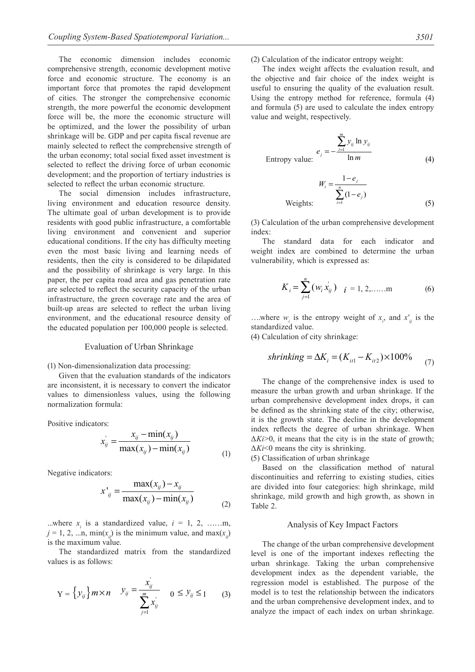The economic dimension includes economic comprehensive strength, economic development motive force and economic structure. The economy is an important force that promotes the rapid development of cities. The stronger the comprehensive economic strength, the more powerful the economic development force will be, the more the economic structure will be optimized, and the lower the possibility of urban shrinkage will be. GDP and per capita fiscal revenue are mainly selected to reflect the comprehensive strength of the urban economy; total social fixed asset investment is selected to reflect the driving force of urban economic development; and the proportion of tertiary industries is selected to reflect the urban economic structure.

The social dimension includes infrastructure, living environment and education resource density. The ultimate goal of urban development is to provide residents with good public infrastructure, a comfortable living environment and convenient and superior educational conditions. If the city has difficulty meeting even the most basic living and learning needs of residents, then the city is considered to be dilapidated and the possibility of shrinkage is very large. In this paper, the per capita road area and gas penetration rate are selected to reflect the security capacity of the urban infrastructure, the green coverage rate and the area of built-up areas are selected to reflect the urban living environment, and the educational resource density of the educated population per 100,000 people is selected.

#### Evaluation of Urban Shrinkage

#### (1) Non-dimensionalization data processing:

Given that the evaluation standards of the indicators are inconsistent, it is necessary to convert the indicator values to dimensionless values, using the following normalization formula:

Positive indicators:

$$
x_{ij}^{'} = \frac{x_{ij} - \min(x_{ij})}{\max(x_{ij}) - \min(x_{ij})}
$$
 (1)

Negative indicators:

$$
x'_{ij} = \frac{\max(x_{ij}) - x_{ij}}{\max(x_{ij}) - \min(x_{ij})}
$$
 (2)

...where  $x_i$  is a standardized value,  $i = 1, 2, \dots, m$ ,  $j = 1, 2, \dots n$ , min $(x_{ij})$  is the minimum value, and max $(x_{ij})$ is the maximum value.

The standardized matrix from the standardized values is as follows:

$$
Y = \left\{ \mathcal{Y}_{ij} \right\} m \times n \quad \mathcal{Y}_{ij} = \frac{x_{ij}^{\prime}}{\sum_{j=1}^{m} x_{ij}^{\prime}} \quad 0 \leq \mathcal{Y}_{ij} \leq 1 \quad (3)
$$

(2) Calculation of the indicator entropy weight:

The index weight affects the evaluation result, and the objective and fair choice of the index weight is useful to ensuring the quality of the evaluation result. Using the entropy method for reference, formula (4) and formula (5) are used to calculate the index entropy value and weight, respectively.

Entropy value: 
$$
e_j = -\frac{\sum_{i=1}^{m} y_{ij} \ln y_{ij}}{\ln m}
$$
 (4)

$$
W_i = \frac{1 - e_j}{\sum_{i=1}^{n} (1 - e_j)}
$$
  
Weights: (5)

(3) Calculation of the urban comprehensive development index:

The standard data for each indicator and weight index are combined to determine the urban vulnerability, which is expressed as:

$$
K_{i} = \sum_{j=1}^{n} (w_{i} x_{ij}) \quad i = 1, 2, \dots, m \tag{6}
$$

...where  $w_i$  is the entropy weight of  $x_i$ , and  $x'_i$  is the standardized value.

(4) Calculation of city shrinkage:

*shrinking* = 
$$
\Delta K_i
$$
 =  $(K_{it1} - K_{it2}) \times 100\%$  (7)

The change of the comprehensive index is used to measure the urban growth and urban shrinkage. If the urban comprehensive development index drops, it can be defined as the shrinking state of the city; otherwise, it is the growth state. The decline in the development index reflects the degree of urban shrinkage. When  $\Delta Ki > 0$ , it means that the city is in the state of growth; Δ*Ki*<0 means the city is shrinking.

(5) Classification of urban shrinkage

Based on the classification method of natural discontinuities and referring to existing studies, cities are divided into four categories: high shrinkage, mild shrinkage, mild growth and high growth, as shown in Table 2.

#### Analysis of Key Impact Factors

The change of the urban comprehensive development level is one of the important indexes reflecting the urban shrinkage. Taking the urban comprehensive development index as the dependent variable, the regression model is established. The purpose of the model is to test the relationship between the indicators and the urban comprehensive development index, and to analyze the impact of each index on urban shrinkage.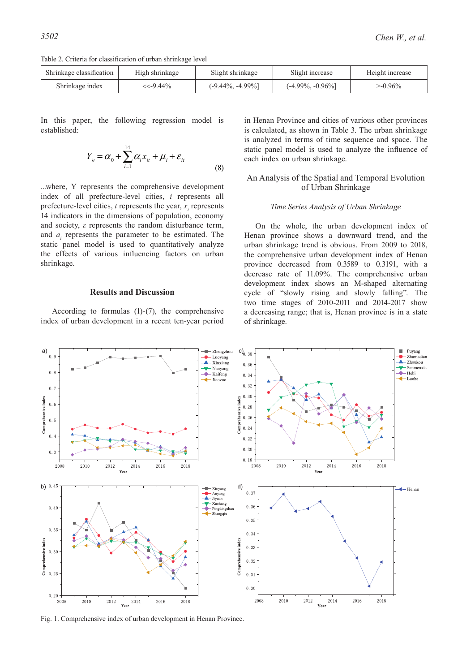Table 2. Criteria for classification of urban shrinkage level

| Shrinkage classification | High shrinkage | Slight shrinkage     | Slight increase      | Height increase |
|--------------------------|----------------|----------------------|----------------------|-----------------|
| Shrinkage index          | $<< -9.44\%$   | $(-9.44\%, -4.99\%)$ | $(-4.99\%, -0.96\%)$ | $>0.96\%$       |

In this paper, the following regression model is established:

$$
Y_{it} = \alpha_0 + \sum_{i=1}^{14} \alpha_i x_{it} + \mu_i + \varepsilon_{it}
$$
\n(8)

...where, Y represents the comprehensive development index of all prefecture-level cities, *i* represents all prefecture-level cities,  $t$  represents the year,  $x_i$  represents 14 indicators in the dimensions of population, economy and society, *ε* represents the random disturbance term, and  $a_i$  represents the parameter to be estimated. The static panel model is used to quantitatively analyze the effects of various influencing factors on urban shrinkage.

# **Results and Discussion**

According to formulas (1)-(7), the comprehensive index of urban development in a recent ten-year period in Henan Province and cities of various other provinces is calculated, as shown in Table 3. The urban shrinkage is analyzed in terms of time sequence and space. The static panel model is used to analyze the influence of each index on urban shrinkage.

# An Analysis of the Spatial and Temporal Evolution of Urban Shrinkage

#### *Time Series Analysis of Urban Shrinkage*

On the whole, the urban development index of Henan province shows a downward trend, and the urban shrinkage trend is obvious. From 2009 to 2018, the comprehensive urban development index of Henan province decreased from 0.3589 to 0.3191, with a decrease rate of 11.09%. The comprehensive urban development index shows an M-shaped alternating cycle of "slowly rising and slowly falling". The two time stages of 2010-2011 and 2014-2017 show a decreasing range; that is, Henan province is in a state of shrinkage.

- Zhengzhou a) ■ Puyang<br>● Zhumadian  $c)$ <sub>0.38</sub>  $0.9$ - Luovang - Xinxiang  $\triangle$  Zhoukou  $0.36$ Sanmenxia Nanyang  $0, \delta$ Kaifeng  $Hebi$  $0.34$  $\leftarrow$  Luohe  $\leftarrow$ Jiaozuo  $0.32$  $0.7$  $0.30$ hensive index Comprehensive index  $0<sup>1</sup>$  $0.28$  $0.26$  $0.5$  $\frac{1}{2}$  $0.24$  $0.4$  $0.22$  $0.20$  $0.3$  $0.18$  $2012$  $2010$  $2012$  $2016$  $2018$ 2008  $2010$ 2014 2016 2018 2008 2014  $V_{AB}$  $V_{\alpha\alpha\gamma}$ b)  $0.45$  $\mathsf{d}$ ) Xinyang  $\triangleleft$  Henan  $0.37$  $-$  Anyang Anyang<br>A Jiyuan - Xuchang  $0, 36$  $0.40$  $-$  Pingdingshan Shangqiu  $0.35$  $0.35$  $0.34$ Comprehensive index Comprehensive index  $0.33$  $0.30$  $0.32$  $0, 2$  $0.31$  $0.30$  $0, 20$ 2008  $2010$ 2012 2014  $2016$ 2018  $2010$ 2012 2014  $2016$  $2018$ 2008 .<br>Vear

Fig. 1. Comprehensive index of urban development in Henan Province.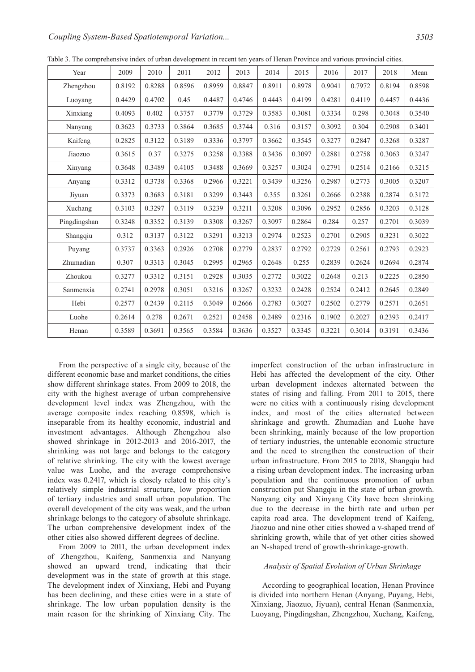| Year         | 2009   | 2010   | 2011   | 2012   | 2013   | 2014   | 2015   | 2016   | 2017   | 2018   | Mean   |
|--------------|--------|--------|--------|--------|--------|--------|--------|--------|--------|--------|--------|
| Zhengzhou    | 0.8192 | 0.8288 | 0.8596 | 0.8959 | 0.8847 | 0.8911 | 0.8978 | 0.9041 | 0.7972 | 0.8194 | 0.8598 |
| Luoyang      | 0.4429 | 0.4702 | 0.45   | 0.4487 | 0.4746 | 0.4443 | 0.4199 | 0.4281 | 0.4119 | 0.4457 | 0.4436 |
| Xinxiang     | 0.4093 | 0.402  | 0.3757 | 0.3779 | 0.3729 | 0.3583 | 0.3081 | 0.3334 | 0.298  | 0.3048 | 0.3540 |
| Nanyang      | 0.3623 | 0.3733 | 0.3864 | 0.3685 | 0.3744 | 0.316  | 0.3157 | 0.3092 | 0.304  | 0.2908 | 0.3401 |
| Kaifeng      | 0.2825 | 0.3122 | 0.3189 | 0.3336 | 0.3797 | 0.3662 | 0.3545 | 0.3277 | 0.2847 | 0.3268 | 0.3287 |
| Jiaozuo      | 0.3615 | 0.37   | 0.3275 | 0.3258 | 0.3388 | 0.3436 | 0.3097 | 0.2881 | 0.2758 | 0.3063 | 0.3247 |
| Xinyang      | 0.3648 | 0.3489 | 0.4105 | 0.3488 | 0.3669 | 0.3257 | 0.3024 | 0.2791 | 0.2514 | 0.2166 | 0.3215 |
| Anyang       | 0.3312 | 0.3738 | 0.3368 | 0.2966 | 0.3221 | 0.3439 | 0.3256 | 0.2987 | 0.2773 | 0.3005 | 0.3207 |
| Jiyuan       | 0.3373 | 0.3683 | 0.3181 | 0.3299 | 0.3443 | 0.355  | 0.3261 | 0.2666 | 0.2388 | 0.2874 | 0.3172 |
| Xuchang      | 0.3103 | 0.3297 | 0.3119 | 0.3239 | 0.3211 | 0.3208 | 0.3096 | 0.2952 | 0.2856 | 0.3203 | 0.3128 |
| Pingdingshan | 0.3248 | 0.3352 | 0.3139 | 0.3308 | 0.3267 | 0.3097 | 0.2864 | 0.284  | 0.257  | 0.2701 | 0.3039 |
| Shangqiu     | 0.312  | 0.3137 | 0.3122 | 0.3291 | 0.3213 | 0.2974 | 0.2523 | 0.2701 | 0.2905 | 0.3231 | 0.3022 |
| Puyang       | 0.3737 | 0.3363 | 0.2926 | 0.2708 | 0.2779 | 0.2837 | 0.2792 | 0.2729 | 0.2561 | 0.2793 | 0.2923 |
| Zhumadian    | 0.307  | 0.3313 | 0.3045 | 0.2995 | 0.2965 | 0.2648 | 0.255  | 0.2839 | 0.2624 | 0.2694 | 0.2874 |
| Zhoukou      | 0.3277 | 0.3312 | 0.3151 | 0.2928 | 0.3035 | 0.2772 | 0.3022 | 0.2648 | 0.213  | 0.2225 | 0.2850 |
| Sanmenxia    | 0.2741 | 0.2978 | 0.3051 | 0.3216 | 0.3267 | 0.3232 | 0.2428 | 0.2524 | 0.2412 | 0.2645 | 0.2849 |
| Hebi         | 0.2577 | 0.2439 | 0.2115 | 0.3049 | 0.2666 | 0.2783 | 0.3027 | 0.2502 | 0.2779 | 0.2571 | 0.2651 |
| Luohe        | 0.2614 | 0.278  | 0.2671 | 0.2521 | 0.2458 | 0.2489 | 0.2316 | 0.1902 | 0.2027 | 0.2393 | 0.2417 |
| Henan        | 0.3589 | 0.3691 | 0.3565 | 0.3584 | 0.3636 | 0.3527 | 0.3345 | 0.3221 | 0.3014 | 0.3191 | 0.3436 |

Table 3. The comprehensive index of urban development in recent ten years of Henan Province and various provincial cities.

From the perspective of a single city, because of the different economic base and market conditions, the cities show different shrinkage states. From 2009 to 2018, the city with the highest average of urban comprehensive development level index was Zhengzhou, with the average composite index reaching 0.8598, which is inseparable from its healthy economic, industrial and investment advantages. Although Zhengzhou also showed shrinkage in 2012-2013 and 2016-2017, the shrinking was not large and belongs to the category of relative shrinking. The city with the lowest average value was Luohe, and the average comprehensive index was 0.2417, which is closely related to this city's relatively simple industrial structure, low proportion of tertiary industries and small urban population. The overall development of the city was weak, and the urban shrinkage belongs to the category of absolute shrinkage. The urban comprehensive development index of the other cities also showed different degrees of decline.

From 2009 to 2011, the urban development index of Zhengzhou, Kaifeng, Sanmenxia and Nanyang showed an upward trend, indicating that their development was in the state of growth at this stage. The development index of Xinxiang, Hebi and Puyang has been declining, and these cities were in a state of shrinkage. The low urban population density is the main reason for the shrinking of Xinxiang City. The

imperfect construction of the urban infrastructure in Hebi has affected the development of the city. Other urban development indexes alternated between the states of rising and falling. From 2011 to 2015, there were no cities with a continuously rising development index, and most of the cities alternated between shrinkage and growth. Zhumadian and Luohe have been shrinking, mainly because of the low proportion of tertiary industries, the untenable economic structure and the need to strengthen the construction of their urban infrastructure. From 2015 to 2018, Shangqiu had a rising urban development index. The increasing urban population and the continuous promotion of urban construction put Shangqiu in the state of urban growth. Nanyang city and Xinyang City have been shrinking due to the decrease in the birth rate and urban per capita road area. The development trend of Kaifeng, Jiaozuo and nine other cities showed a v-shaped trend of shrinking growth, while that of yet other cities showed an N-shaped trend of growth-shrinkage-growth.

#### *Analysis of Spatial Evolution of Urban Shrinkage*

According to geographical location, Henan Province is divided into northern Henan (Anyang, Puyang, Hebi, Xinxiang, Jiaozuo, Jiyuan), central Henan (Sanmenxia, Luoyang, Pingdingshan, Zhengzhou, Xuchang, Kaifeng,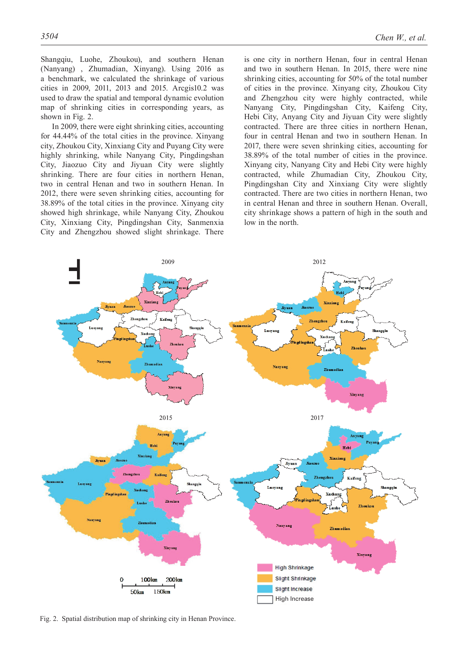Shangqiu, Luohe, Zhoukou), and southern Henan (Nanyang) , Zhumadian, Xinyang). Using 2016 as a benchmark, we calculated the shrinkage of various cities in 2009, 2011, 2013 and 2015. Arcgis10.2 was used to draw the spatial and temporal dynamic evolution map of shrinking cities in corresponding years, as shown in Fig. 2.

In 2009, there were eight shrinking cities, accounting for 44.44% of the total cities in the province. Xinyang city, Zhoukou City, Xinxiang City and Puyang City were highly shrinking, while Nanyang City, Pingdingshan City, Jiaozuo City and Jiyuan City were slightly shrinking. There are four cities in northern Henan, two in central Henan and two in southern Henan. In 2012, there were seven shrinking cities, accounting for 38.89% of the total cities in the province. Xinyang city showed high shrinkage, while Nanyang City, Zhoukou City, Xinxiang City, Pingdingshan City, Sanmenxia City and Zhengzhou showed slight shrinkage. There

is one city in northern Henan, four in central Henan and two in southern Henan. In 2015, there were nine shrinking cities, accounting for 50% of the total number of cities in the province. Xinyang city, Zhoukou City and Zhengzhou city were highly contracted, while Nanyang City, Pingdingshan City, Kaifeng City, Hebi City, Anyang City and Jiyuan City were slightly contracted. There are three cities in northern Henan, four in central Henan and two in southern Henan. In 2017, there were seven shrinking cities, accounting for 38.89% of the total number of cities in the province. Xinyang city, Nanyang City and Hebi City were highly contracted, while Zhumadian City, Zhoukou City,

Pingdingshan City and Xinxiang City were slightly contracted. There are two cities in northern Henan, two in central Henan and three in southern Henan. Overall, city shrinkage shows a pattern of high in the south and low in the north.



Fig. 2. Spatial distribution map of shrinking city in Henan Province.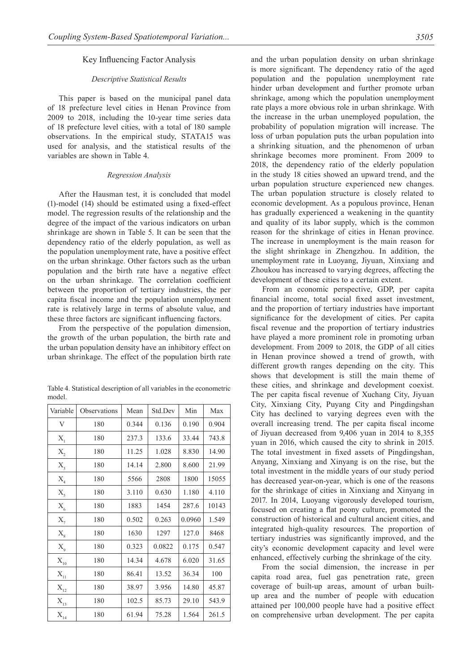#### Key Influencing Factor Analysis

# *Descriptive Statistical Results*

This paper is based on the municipal panel data of 18 prefecture level cities in Henan Province from 2009 to 2018, including the 10-year time series data of 18 prefecture level cities, with a total of 180 sample observations. In the empirical study, STATA15 was used for analysis, and the statistical results of the variables are shown in Table 4.

#### *Regression Analysis*

After the Hausman test, it is concluded that model (1)-model (14) should be estimated using a fixed-effect model. The regression results of the relationship and the degree of the impact of the various indicators on urban shrinkage are shown in Table 5. It can be seen that the dependency ratio of the elderly population, as well as the population unemployment rate, have a positive effect on the urban shrinkage. Other factors such as the urban population and the birth rate have a negative effect on the urban shrinkage. The correlation coefficient between the proportion of tertiary industries, the per capita fiscal income and the population unemployment rate is relatively large in terms of absolute value, and these three factors are significant influencing factors.

From the perspective of the population dimension, the growth of the urban population, the birth rate and the urban population density have an inhibitory effect on urban shrinkage. The effect of the population birth rate

|        | Table 4. Statistical description of all variables in the econometric |  |  |  |
|--------|----------------------------------------------------------------------|--|--|--|
| model. |                                                                      |  |  |  |

| Variable                              | Observations | Mean  | Std.Dev | Min    | Max   |
|---------------------------------------|--------------|-------|---------|--------|-------|
| V                                     | 180          | 0.344 | 0.136   | 0.190  | 0.904 |
| $X_1$                                 | 180          | 237.3 | 133.6   | 33.44  | 743.8 |
| $X_{2}$                               | 180          | 11.25 | 1.028   | 8.830  | 14.90 |
| $X_{3}$                               | 180          | 14.14 | 2.800   | 8.600  | 21.99 |
| $X_4$                                 | 180          | 5566  | 2808    | 1800   | 15055 |
| $X_{5}$                               | 180          | 3.110 | 0.630   | 1.180  | 4.110 |
| $X_{6}$                               | 180          | 1883  | 1454    | 287.6  | 10143 |
| $X_{7}$                               | 180          | 0.502 | 0.263   | 0.0960 | 1.549 |
| $X_{\rm s}$                           | 180          | 1630  | 1297    | 127.0  | 8468  |
| $\mathbf{X}_{9}$                      | 180          | 0.323 | 0.0822  | 0.175  | 0.547 |
| $\mathbf{X}_{\scriptscriptstyle{10}}$ | 180          | 14.34 | 4.678   | 6.020  | 31.65 |
| $\mathbf{X}_{\scriptscriptstyle{11}}$ | 180          | 86.41 | 13.52   | 36.34  | 100   |
| $\mathbf{X}_{\scriptscriptstyle{12}}$ | 180          | 38.97 | 3.956   | 14.80  | 45.87 |
| $\mathbf{X}_{\scriptscriptstyle{13}}$ | 180          | 102.5 | 85.73   | 29.10  | 543.9 |
| $\mathbf{X}_{\scriptscriptstyle{14}}$ | 180          | 61.94 | 75.28   | 1.564  | 261.5 |

and the urban population density on urban shrinkage is more significant. The dependency ratio of the aged population and the population unemployment rate hinder urban development and further promote urban shrinkage, among which the population unemployment rate plays a more obvious role in urban shrinkage. With the increase in the urban unemployed population, the probability of population migration will increase. The loss of urban population puts the urban population into a shrinking situation, and the phenomenon of urban shrinkage becomes more prominent. From 2009 to 2018, the dependency ratio of the elderly population in the study 18 cities showed an upward trend, and the urban population structure experienced new changes. The urban population structure is closely related to economic development. As a populous province, Henan has gradually experienced a weakening in the quantity and quality of its labor supply, which is the common reason for the shrinkage of cities in Henan province. The increase in unemployment is the main reason for the slight shrinkage in Zhengzhou. In addition, the unemployment rate in Luoyang, Jiyuan, Xinxiang and Zhoukou has increased to varying degrees, affecting the development of these cities to a certain extent.

From an economic perspective, GDP, per capita financial income, total social fixed asset investment, and the proportion of tertiary industries have important significance for the development of cities. Per capita fiscal revenue and the proportion of tertiary industries have played a more prominent role in promoting urban development. From 2009 to 2018, the GDP of all cities in Henan province showed a trend of growth, with different growth ranges depending on the city. This shows that development is still the main theme of these cities, and shrinkage and development coexist. The per capita fiscal revenue of Xuchang City, Jiyuan City, Xinxiang City, Puyang City and Pingdingshan City has declined to varying degrees even with the overall increasing trend. The per capita fiscal income of Jiyuan decreased from 9,406 yuan in 2014 to 8,355 yuan in 2016, which caused the city to shrink in 2015. The total investment in fixed assets of Pingdingshan, Anyang, Xinxiang and Xinyang is on the rise, but the total investment in the middle years of our study period has decreased year-on-year, which is one of the reasons for the shrinkage of cities in Xinxiang and Xinyang in 2017. In 2014, Luoyang vigorously developed tourism, focused on creating a flat peony culture, promoted the construction of historical and cultural ancient cities, and integrated high-quality resources. The proportion of tertiary industries was significantly improved, and the city's economic development capacity and level were enhanced, effectively curbing the shrinkage of the city.

From the social dimension, the increase in per capita road area, fuel gas penetration rate, green coverage of built-up areas, amount of urban builtup area and the number of people with education attained per 100,000 people have had a positive effect on comprehensive urban development. The per capita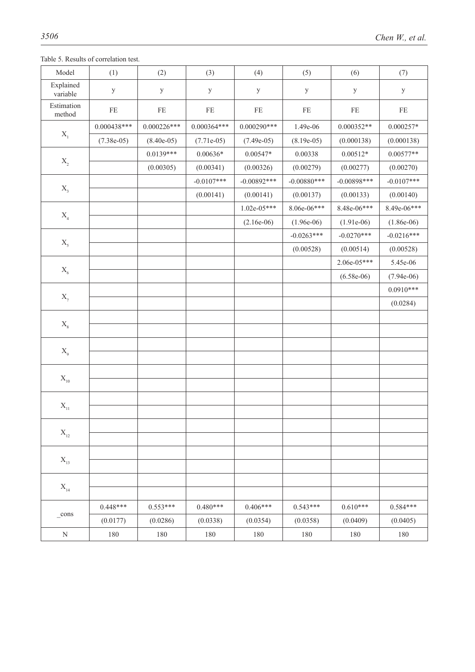Table 5. Results of correlation test.

| Model                                 | (1)           | (2)           | (3)           | (4)           | (5)           | (6)           | (7)          |
|---------------------------------------|---------------|---------------|---------------|---------------|---------------|---------------|--------------|
| Explained<br>variable                 | $\mathbf{y}$  | $\mathbf{y}$  | $\mathbf{y}$  | $\mathbf{y}$  | $\mathbf{y}$  | $\mathbf{y}$  | $\mathbf{y}$ |
| Estimation<br>method                  | $\rm FE$      | FE            | $\rm FE$      | $\rm FE$      | $\rm FE$      | $\rm FE$      | $\rm FE$     |
|                                       | $0.000438***$ | $0.000226***$ | $0.000364***$ | $0.000290***$ | 1.49e-06      | $0.000352**$  | $0.000257*$  |
| $\mathbf{X}_\text{1}$                 | $(7.38e-05)$  | $(8.40e-05)$  | $(7.71e-05)$  | $(7.49e-05)$  | $(8.19e-05)$  | (0.000138)    | (0.000138)   |
|                                       |               | $0.0139***$   | $0.00636*$    | $0.00547*$    | 0.00338       | $0.00512*$    | $0.00577**$  |
| $\mathbf{X}_{\scriptscriptstyle{2}}$  |               | (0.00305)     | (0.00341)     | (0.00326)     | (0.00279)     | (0.00277)     | (0.00270)    |
|                                       |               |               | $-0.0107***$  | $-0.00892***$ | $-0.00880***$ | $-0.00898***$ | $-0.0107***$ |
| $\mathbf{X}_{_3}$                     |               |               | (0.00141)     | (0.00141)     | (0.00137)     | (0.00133)     | (0.00140)    |
|                                       |               |               |               | $1.02e-05***$ | 8.06e-06***   | 8.48e-06***   | 8.49e-06***  |
| $\mathbf{X}_{\scriptscriptstyle{4}}$  |               |               |               | $(2.16e-06)$  | $(1.96e-06)$  | $(1.91e-06)$  | $(1.86e-06)$ |
|                                       |               |               |               |               | $-0.0263***$  | $-0.0270***$  | $-0.0216***$ |
| $\mathbf{X}_\mathrm{s}$               |               |               |               |               | (0.00528)     | (0.00514)     | (0.00528)    |
|                                       |               |               |               |               |               | $2.06e-05***$ | 5.45e-06     |
| $\mathbf{X}_{\scriptscriptstyle{6}}$  |               |               |               |               |               | $(6.58e-06)$  | $(7.94e-06)$ |
|                                       |               |               |               |               |               |               | $0.0910***$  |
| $\mathbf{X}_{\mathbf{7}}$             |               |               |               |               |               |               | (0.0284)     |
|                                       |               |               |               |               |               |               |              |
| $\mathbf{X}_{\mathrm{s}}$             |               |               |               |               |               |               |              |
|                                       |               |               |               |               |               |               |              |
| $\mathbf{X}_{\scriptscriptstyle{9}}$  |               |               |               |               |               |               |              |
|                                       |               |               |               |               |               |               |              |
| $\mathbf{X}_{\text{10}}$              |               |               |               |               |               |               |              |
|                                       |               |               |               |               |               |               |              |
| $\mathbf{X}_{\text{11}}$              |               |               |               |               |               |               |              |
|                                       |               |               |               |               |               |               |              |
| $\mathbf{X}_{_{12}}$                  |               |               |               |               |               |               |              |
|                                       |               |               |               |               |               |               |              |
| $\mathbf{X}_{\scriptscriptstyle{13}}$ |               |               |               |               |               |               |              |
|                                       |               |               |               |               |               |               |              |
| $\mathbf{X}_{\scriptscriptstyle{14}}$ |               |               |               |               |               |               |              |
|                                       | $0.448***$    | $0.553***$    | $0.480***$    | $0.406***$    | $0.543***$    | $0.610***$    | 0.584***     |
| $_{\rm cons}$                         | (0.0177)      | (0.0286)      | (0.0338)      | (0.0354)      | (0.0358)      | (0.0409)      | (0.0405)     |
| ${\bf N}$                             | 180           | 180           | 180           | 180           | 180           | 180           | $180\,$      |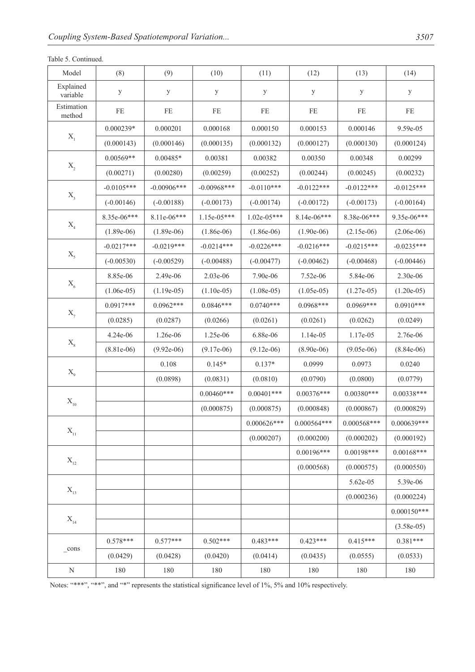| Table 5. Continued. |  |  |
|---------------------|--|--|
|---------------------|--|--|

| Model                                 | (8)          | (9)           | (10)          | (11)          | (12)         | (13)                      | (14)          |
|---------------------------------------|--------------|---------------|---------------|---------------|--------------|---------------------------|---------------|
| Explained<br>variable                 | $\mathbf{y}$ | $\mathbf{y}$  | $\mathbf{y}$  | y             | y            | $\mathbf{y}$              | $\mathbf{y}$  |
| Estimation<br>method                  | FE           | $\rm FE$      | FE            | FE            | $\rm FE$     | FE                        | $\rm FE$      |
|                                       | $0.000239*$  | 0.000201      | 0.000168      | 0.000150      | 0.000153     | 0.000146                  | 9.59e-05      |
| $\mathbf{X}_{\text{\tiny{1}}}$        | (0.000143)   | (0.000146)    | (0.000135)    | (0.000132)    | (0.000127)   | (0.000130)                | (0.000124)    |
|                                       | $0.00569**$  | $0.00485*$    | 0.00381       | 0.00382       | 0.00350      | 0.00348                   | 0.00299       |
| $\mathbf{X}_{\scriptscriptstyle{2}}$  | (0.00271)    | (0.00280)     | (0.00259)     | (0.00252)     | (0.00244)    | (0.00245)                 | (0.00232)     |
|                                       | $-0.0105***$ | $-0.00906***$ | $-0.00968***$ | $-0.0110***$  | $-0.0122***$ | $-0.0122***$              | $-0.0125***$  |
| $\mathbf{X}_{\mathbf{3}}$             | $(-0.00146)$ | $(-0.00188)$  | $(-0.00173)$  | $(-0.00174)$  | $(-0.00172)$ | $(-0.00173)$              | $(-0.00164)$  |
|                                       | 8.35e-06***  | 8.11e-06***   | $1.15e-05***$ | $1.02e-05***$ | 8.14e-06***  | 8.38e-06***               | 9.35e-06***   |
| $\mathbf{X}_4$                        | $(1.89e-06)$ | $(1.89e-06)$  | $(1.86e-06)$  | $(1.86e-06)$  | $(1.90e-06)$ | $(2.15e-06)$              | $(2.06e-06)$  |
|                                       | $-0.0217***$ | $-0.0219***$  | $-0.0214***$  | $-0.0226***$  | $-0.0216***$ | $-0.0215***$              | $-0.0235***$  |
| $\mathbf{X}_5$                        | $(-0.00530)$ | $(-0.00529)$  | $(-0.00488)$  | $(-0.00477)$  | $(-0.00462)$ | $(-0.00468)$              | $(-0.00446)$  |
|                                       | 8.85e-06     | 2.49e-06      | 2.03e-06      | 7.90e-06      | 7.52e-06     | 5.84e-06                  | 2.30e-06      |
| $X_{6}$                               | $(1.06e-05)$ | $(1.19e-05)$  | $(1.10e-05)$  | $(1.08e-05)$  | $(1.05e-05)$ | $(1.27e-05)$              | $(1.20e-05)$  |
|                                       | $0.0917***$  | $0.0962***$   | $0.0846***$   | $0.0740***$   | $0.0968***$  | $0.0969***$               | $0.0910***$   |
| $\mathbf{X}_7$                        | (0.0285)     | (0.0287)      | (0.0266)      | (0.0261)      | (0.0261)     | (0.0262)                  | (0.0249)      |
|                                       | 4.24e-06     | 1.26e-06      | 1.25e-06      | 6.88e-06      | 1.14e-05     | 1.17e-05                  | 2.76e-06      |
| $X_{\rm 8}$                           | $(8.81e-06)$ | $(9.92e-06)$  | $(9.17e-06)$  | $(9.12e-06)$  | $(8.90e-06)$ | $(9.05e-06)$              | $(8.84e-06)$  |
|                                       |              | 0.108         | $0.145*$      | $0.137*$      | 0.0999       | 0.0973                    | 0.0240        |
| $X_{\text{9}}$                        |              | (0.0898)      | (0.0831)      | (0.0810)      | (0.0790)     | (0.0800)                  | (0.0779)      |
|                                       |              |               | $0.00460***$  | $0.00401***$  | $0.00376***$ | $0.00380***$              | $0.00338***$  |
| $\mathbf{X}_{\scriptscriptstyle{10}}$ |              |               | (0.000875)    | (0.000875)    | (0.000848)   | (0.000867)                | (0.000829)    |
|                                       |              |               |               | $0.000626***$ | 0.000564***  | $0.000568^{\ast\ast\ast}$ | $0.000639***$ |
| $X_{11}$                              |              |               |               | (0.000207)    | (0.000200)   | (0.000202)                | (0.000192)    |
|                                       |              |               |               |               | $0.00196***$ | $0.00198***$              | $0.00168***$  |
| $X_{12}$                              |              |               |               |               | (0.000568)   | (0.000575)                | (0.000550)    |
|                                       |              |               |               |               |              | 5.62e-05                  | 5.39e-06      |
| $X_{13}$                              |              |               |               |               |              | (0.000236)                | (0.000224)    |
|                                       |              |               |               |               |              |                           | $0.000150***$ |
| $X_{14}$                              |              |               |               |               |              |                           | $(3.58e-05)$  |
|                                       | $0.578***$   | $0.577***$    | $0.502***$    | $0.483***$    | $0.423***$   | $0.415***$                | $0.381***$    |
| _cons                                 | (0.0429)     | (0.0428)      | (0.0420)      | (0.0414)      | (0.0435)     | (0.0555)                  | (0.0533)      |
| N                                     | 180          | 180           | 180           | 180           | 180          | 180                       | 180           |

Notes: "\*\*\*", "\*\*", and "\*" represents the statistical significance level of 1%, 5% and 10% respectively.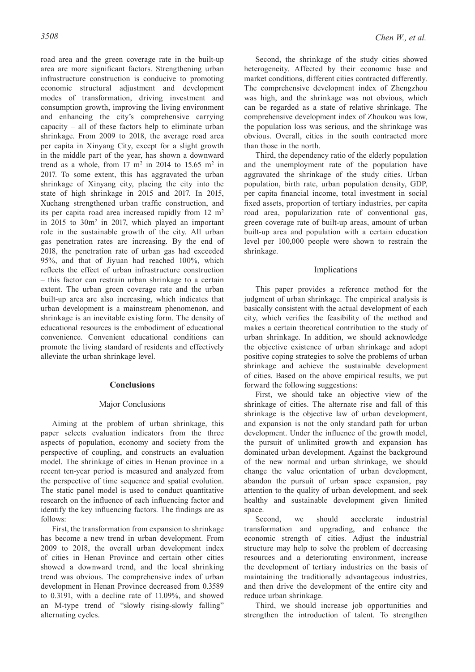road area and the green coverage rate in the built-up area are more significant factors. Strengthening urban infrastructure construction is conducive to promoting economic structural adjustment and development modes of transformation, driving investment and consumption growth, improving the living environment and enhancing the city's comprehensive carrying capacity – all of these factors help to eliminate urban shrinkage. From 2009 to 2018, the average road area per capita in Xinyang City, except for a slight growth in the middle part of the year, has shown a downward trend as a whole, from  $17 \text{ m}^2$  in  $2014$  to  $15.65 \text{ m}^2$  in 2017. To some extent, this has aggravated the urban shrinkage of Xinyang city, placing the city into the state of high shrinkage in 2015 and 2017. In 2015, Xuchang strengthened urban traffic construction, and its per capita road area increased rapidly from 12 m<sup>2</sup> in 2015 to 30m2 in 2017, which played an important role in the sustainable growth of the city. All urban gas penetration rates are increasing. By the end of 2018, the penetration rate of urban gas had exceeded 95%, and that of Jiyuan had reached 100%, which reflects the effect of urban infrastructure construction – this factor can restrain urban shrinkage to a certain extent. The urban green coverage rate and the urban built-up area are also increasing, which indicates that urban development is a mainstream phenomenon, and shrinkage is an inevitable existing form. The density of educational resources is the embodiment of educational convenience. Convenient educational conditions can promote the living standard of residents and effectively alleviate the urban shrinkage level.

# **Conclusions**

# Major Conclusions

Aiming at the problem of urban shrinkage, this paper selects evaluation indicators from the three aspects of population, economy and society from the perspective of coupling, and constructs an evaluation model. The shrinkage of cities in Henan province in a recent ten-year period is measured and analyzed from the perspective of time sequence and spatial evolution. The static panel model is used to conduct quantitative research on the influence of each influencing factor and identify the key influencing factors. The findings are as follows:

First, the transformation from expansion to shrinkage has become a new trend in urban development. From 2009 to 2018, the overall urban development index of cities in Henan Province and certain other cities showed a downward trend, and the local shrinking trend was obvious. The comprehensive index of urban development in Henan Province decreased from 0.3589 to 0.3191, with a decline rate of 11.09%, and showed an M-type trend of "slowly rising-slowly falling" alternating cycles.

Second, the shrinkage of the study cities showed heterogeneity. Affected by their economic base and market conditions, different cities contracted differently. The comprehensive development index of Zhengzhou was high, and the shrinkage was not obvious, which can be regarded as a state of relative shrinkage. The comprehensive development index of Zhoukou was low, the population loss was serious, and the shrinkage was obvious. Overall, cities in the south contracted more than those in the north.

Third, the dependency ratio of the elderly population and the unemployment rate of the population have aggravated the shrinkage of the study cities. Urban population, birth rate, urban population density, GDP, per capita financial income, total investment in social fixed assets, proportion of tertiary industries, per capita road area, popularization rate of conventional gas, green coverage rate of built-up areas, amount of urban built-up area and population with a certain education level per 100,000 people were shown to restrain the shrinkage.

# Implications

This paper provides a reference method for the judgment of urban shrinkage. The empirical analysis is basically consistent with the actual development of each city, which verifies the feasibility of the method and makes a certain theoretical contribution to the study of urban shrinkage. In addition, we should acknowledge the objective existence of urban shrinkage and adopt positive coping strategies to solve the problems of urban shrinkage and achieve the sustainable development of cities. Based on the above empirical results, we put forward the following suggestions:

First, we should take an objective view of the shrinkage of cities. The alternate rise and fall of this shrinkage is the objective law of urban development, and expansion is not the only standard path for urban development. Under the influence of the growth model, the pursuit of unlimited growth and expansion has dominated urban development. Against the background of the new normal and urban shrinkage, we should change the value orientation of urban development, abandon the pursuit of urban space expansion, pay attention to the quality of urban development, and seek healthy and sustainable development given limited space.

Second, we should accelerate industrial transformation and upgrading, and enhance the economic strength of cities. Adjust the industrial structure may help to solve the problem of decreasing resources and a deteriorating environment, increase the development of tertiary industries on the basis of maintaining the traditionally advantageous industries, and then drive the development of the entire city and reduce urban shrinkage.

Third, we should increase job opportunities and strengthen the introduction of talent. To strengthen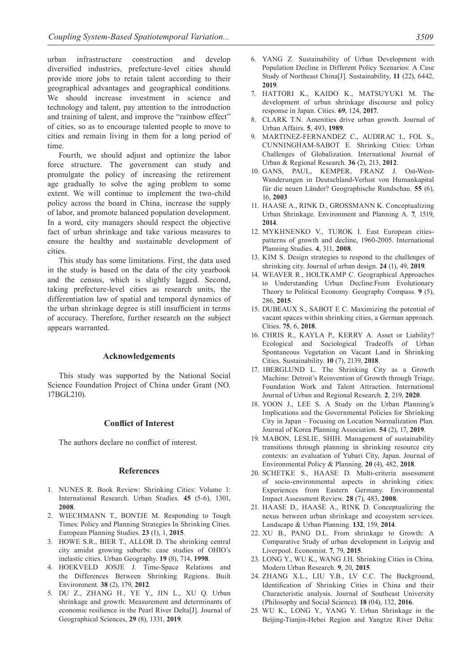urban infrastructure construction and develop diversified industries, prefecture-level cities should provide more jobs to retain talent according to their geographical advantages and geographical conditions. We should increase investment in science and technology and talent, pay attention to the introduction and training of talent, and improve the "rainbow effect" of cities, so as to encourage talented people to move to cities and remain living in them for a long period of time.

Fourth, we should adjust and optimize the labor force structure. The government can study and promulgate the policy of increasing the retirement age gradually to solve the aging problem to some extent. We will continue to implement the two-child policy across the board in China, increase the supply of labor, and promote balanced population development. In a word, city managers should respect the objective fact of urban shrinkage and take various measures to ensure the healthy and sustainable development of cities.

This study has some limitations. First, the data used in the study is based on the data of the city yearbook and the census, which is slightly lagged. Second, taking prefecture-level cities as research units, the differentiation law of spatial and temporal dynamics of the urban shrinkage degree is still insufficient in terms of accuracy. Therefore, further research on the subject appears warranted.

#### **Acknowledgements**

This study was supported by the National Social Science Foundation Project of China under Grant (NO. 17BGL210).

# **Conflict of Interest**

The authors declare no conflict of interest.

# **References**

- 1. NUNES R. Book Review: Shrinking Cities: Volume 1: International Research. Urban Studies. **45** (5-6), 1301, **2008**.
- 2. WIECHMANN T., BONTJE M. Responding to Tough Times: Policy and Planning Strategies In Shrinking Cities. European Planning Studies. **23** (1), 1, **2015**.
- 3. HOWE S.R., BIER T., ALLOR D. The shrinking central city amidst growing suburbs: case studies of OHIO's inelastic cities. Urban Geography. **19** (8), 714, **1998**.
- 4. HOEKVELD JOSJE J. Time-Space Relations and the Differences Between Shrinking Regions. Built Environment. **38** (2), 179, **2012**.
- 5. DU Z., ZHANG H., YE Y., JIN L., XU Q. Urban shrinkage and growth: Measurement and determinants of economic resilience in the Pearl River Delta[J]. Journal of Geographical Sciences, **29** (8), 1331, **2019**.
- 6. YANG Z. Sustainability of Urban Development with Population Decline in Different Policy Scenarios: A Case Study of Northeast China[J]. Sustainability, **11** (22), 6442, **2019**.
- 7. HATTORI K., KAIDO K., MATSUYUKI M. The development of urban shrinkage discourse and policy response in Japan. Cities. **69**, 124, **2017**.
- 8. CLARK T.N. Amenities drive urban growth. Journal of Urban Affairs. **5**, 493, **1989**.
- 9. MARTINEZ-FERNANDEZ C., AUDIRAC I., FOL S., CUNNINGHAM-SABOT E. Shrinking Cities: Urban Challenges of Globalization. International Journal of Urban & Regional Research. **36** (2), 213, **2012**.
- 10. GANS, PAUL, KEMPER, FRANZ J. Ost**-**West**-**Wanderungen in Deutschland**-**Verlust von Humankapital für die neuen Länder? Geographische Rundschau. **55** (6), 16, **2003**
- 11. HAASE A., RINK D., GROSSMANN K. Conceptualizing Urban Shrinkage. Environment and Planning A. **7**, 1519, **2014**.
- 12. MYKHNENKO V., TUROK I. East European citiespatterns of growth and decline, 1960-2005. International Planning Studies. **4**, 311, **2008**.
- 13. KIM S. Design strategies to respond to the challenges of shrinking city. Journal of urban design. **24** (1), 49, **2019**.
- 14. WEAVER R., HOLTKAMP C. Geographical Approaches to Understanding Urban Decline:From Evolutionary Theory to Political Economy. Geography Compass. **9** (5), 286, **2015**.
- 15. DUBEAUX S., SABOT E C. Maximizing the potential of vacant spaces within shrinking cities, a German approach. Cities. **75**, 6, **2018**.
- 16. CHRIS R., KAYLA P., KERRY A. Asset or Liability? Ecological and Sociological Tradeoffs of Urban Spontaneous Vegetation on Vacant Land in Shrinking Cities. Sustainability. **10** (7), 2139, **2018**.
- 17. 1BERGLUND L. The Shrinking City as a Growth Machine: Detroit's Reinvention of Growth through Triage, Foundation Work and Talent Attraction. International Journal of Urban and Regional Research. **2**, 219, **2020**.
- 18. YOON J., LEE S. A Study on the Urban Planning's Implications and the Governmental Policies for Shrinking City in Japan – Focusing on Location Normalization Plan. Journal of Korea Planning Association. **54** (2), 17, **2019**.
- 19. MABON, LESLIE, SHIH. Management of sustainability transitions through planning in shrinking resource city contexts: an evaluation of Yubari City, Japan. Journal of Environmental Policy & Planning. **20** (4), 482, **2018**.
- 20. SCHETKE S., HAASE D. Multi-criteria assessment of socio-environmental aspects in shrinking cities: Experiences from Eastern Germany. Environmental Impact Assessment Review. **28** (7), 483, **2008**.
- 21. HAASE D., HAASE A., RINK D. Conceptualizing the nexus between urban shrinkage and ecosystem services. Landscape & Urban Planning. **132**, 159, **2014**.
- 22. XU B., PANG D.L. From shrinkage to Growth: A Comparative Study of urban development in Leipzig and Liverpool. Economist. **7**, 79, **2015**.
- 23. LONG Y., WU K., WANG J.H. Shrinking Cities in China. Modern Urban Research. **9**, 20, **2015**.
- 24. ZHANG X.L., LIU Y.B., LV C.C. The Background, Identification of Shrinking Cities in China and their Characteristic analysis. Journal of Southeast University (Philosophy and Social Science). **18** (04), 132, **2016**.
- 25. WU K., LONG Y., YANG Y. Urban Shrinkage in the Beijing-Tianjin-Hebei Region and Yangtze River Delta: